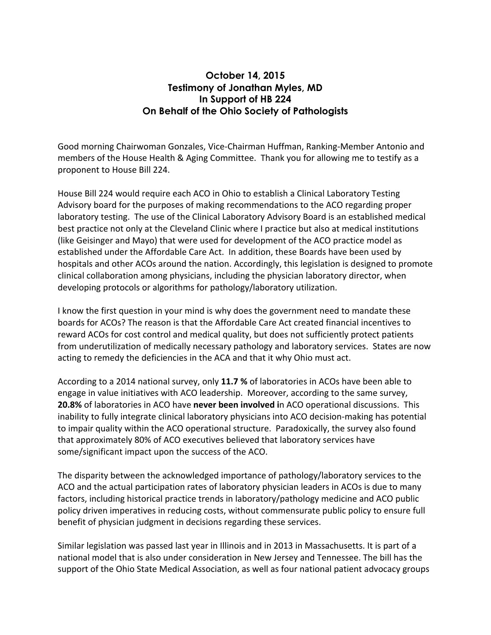## **October 14, 2015 Testimony of Jonathan Myles, MD In Support of HB 224 On Behalf of the Ohio Society of Pathologists**

Good morning Chairwoman Gonzales, Vice-Chairman Huffman, Ranking-Member Antonio and members of the House Health & Aging Committee. Thank you for allowing me to testify as a proponent to House Bill 224.

House Bill 224 would require each ACO in Ohio to establish a Clinical Laboratory Testing Advisory board for the purposes of making recommendations to the ACO regarding proper laboratory testing. The use of the Clinical Laboratory Advisory Board is an established medical best practice not only at the Cleveland Clinic where I practice but also at medical institutions (like Geisinger and Mayo) that were used for development of the ACO practice model as established under the Affordable Care Act. In addition, these Boards have been used by hospitals and other ACOs around the nation. Accordingly, this legislation is designed to promote clinical collaboration among physicians, including the physician laboratory director, when developing protocols or algorithms for pathology/laboratory utilization.

I know the first question in your mind is why does the government need to mandate these boards for ACOs? The reason is that the Affordable Care Act created financial incentives to reward ACOs for cost control and medical quality, but does not sufficiently protect patients from underutilization of medically necessary pathology and laboratory services. States are now acting to remedy the deficiencies in the ACA and that it why Ohio must act.

According to a 2014 national survey, only 11.7 % of laboratories in ACOs have been able to engage in value initiatives with ACO leadership. Moreover, according to the same survey, **20.8%** of laboratories in ACO have never been involved in ACO operational discussions. This inability to fully integrate clinical laboratory physicians into ACO decision-making has potential to impair quality within the ACO operational structure. Paradoxically, the survey also found that approximately 80% of ACO executives believed that laboratory services have some/significant impact upon the success of the ACO.

The disparity between the acknowledged importance of pathology/laboratory services to the ACO and the actual participation rates of laboratory physician leaders in ACOs is due to many factors, including historical practice trends in laboratory/pathology medicine and ACO public policy driven imperatives in reducing costs, without commensurate public policy to ensure full benefit of physician judgment in decisions regarding these services.

Similar legislation was passed last year in Illinois and in 2013 in Massachusetts. It is part of a national model that is also under consideration in New Jersey and Tennessee. The bill has the support of the Ohio State Medical Association, as well as four national patient advocacy groups